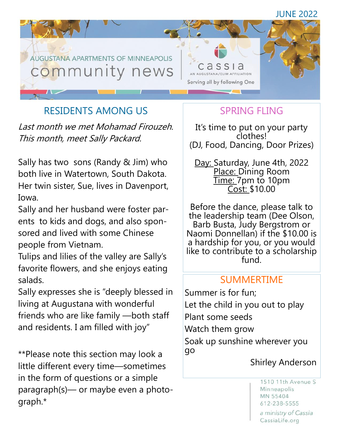

# RESIDENTS AMONG US

Last month we met Mohamad Firouzeh. This month, meet Sally Packard.

Sally has two sons (Randy & Jim) who both live in Watertown, South Dakota. Her twin sister, Sue, lives in Davenport, Iowa.

Sally and her husband were foster parents to kids and dogs, and also sponsored and lived with some Chinese people from Vietnam.

Tulips and lilies of the valley are Sally's favorite flowers, and she enjoys eating salads.

Sally expresses she is "deeply blessed in living at Augustana with wonderful friends who are like family —both staff and residents. I am filled with joy"

\*\*Please note this section may look a little different every time—sometimes in the form of questions or a simple paragraph(s)— or maybe even a photograph.\*

# SPRING FLING

It's time to put on your party clothes! (DJ, Food, Dancing, Door Prizes)

Day: Saturday, June 4th, 2022 Place: Dining Room Time: 7pm to 10pm Cost: \$10.00

Before the dance, please talk to the leadership team (Dee Olson, Barb Busta, Judy Bergstrom or Naomi Donnellan) if the \$10.00 is a hardship for you, or you would like to contribute to a scholarship fund.

#### SUMMERTIME

Summer is for fun; Let the child in you out to play Plant some seeds Watch them grow Soak up sunshine wherever you go

Shirley Anderson

1510 11th Avenue S Minneapolis MN 55404 612-238-5555

a ministry of Cassia CassiaLife.org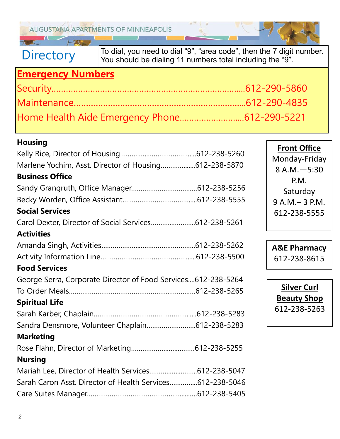**AUGUSTANA APARTMENTS OF MINNEAPOLIS** 

**Directory** 

To dial, you need to dial "9", "area code", then the 7 digit number. You should be dialing 11 numbers total including the "9".

# **Emergency Numbers**

 $H^{\prime}$ 

| Home Health Aide Emergency Phone612-290-5221 |  |
|----------------------------------------------|--|

#### **Housing**

| Marlene Yochim, Asst. Director of Housing612-238-5870         |  |
|---------------------------------------------------------------|--|
| <b>Business Office</b>                                        |  |
|                                                               |  |
|                                                               |  |
| <b>Social Services</b>                                        |  |
| Carol Dexter, Director of Social Services612-238-5261         |  |
| <b>Activities</b>                                             |  |
|                                                               |  |
|                                                               |  |
| <b>Food Services</b>                                          |  |
| George Serra, Corporate Director of Food Services612-238-5264 |  |
|                                                               |  |
| <b>Spiritual Life</b>                                         |  |
|                                                               |  |
| Sandra Densmore, Volunteer Chaplain612-238-5283               |  |
| <b>Marketing</b>                                              |  |
|                                                               |  |
| <b>Nursing</b>                                                |  |
| Mariah Lee, Director of Health Services612-238-5047           |  |
| Sarah Caron Asst. Director of Health Services612-238-5046     |  |
|                                                               |  |

**Front Office** Monday-Friday 8 A.M.—5:30 P.M. Saturday 9 A.M.– 3 P.M. 612-238-5555

**A&E Pharmacy** 612-238-8615

**Silver Curl Beauty Shop** 612-238-5263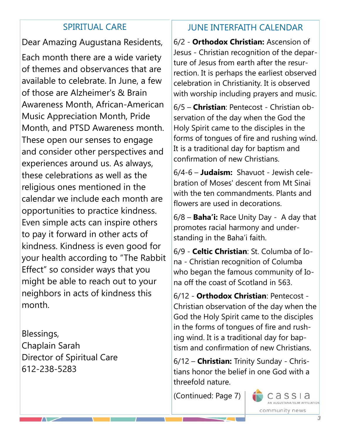#### SPIRITUAL CARE

Dear Amazing Augustana Residents, Each month there are a wide variety of themes and observances that are available to celebrate. In June, a few of those are Alzheimer's & Brain Awareness Month, African-American Music Appreciation Month, Pride Month, and PTSD Awareness month. These open our senses to engage and consider other perspectives and experiences around us. As always, these celebrations as well as the religious ones mentioned in the calendar we include each month are opportunities to practice kindness. Even simple acts can inspire others to pay it forward in other acts of kindness. Kindness is even good for your health according to "The Rabbit Effect" so consider ways that you might be able to reach out to your neighbors in acts of kindness this month.

Blessings, Chaplain Sarah Director of Spiritual Care 612-238-5283

## JUNE INTERFAITH CALENDAR

6/2 - **Orthodox Christian:** Ascension of Jesus - Christian recognition of the departure of Jesus from earth after the resurrection. It is perhaps the earliest observed celebration in Christianity. It is observed with worship including prayers and music.

6/5 – **Christian**: Pentecost - Christian observation of the day when the God the Holy Spirit came to the disciples in the forms of tongues of fire and rushing wind. It is a traditional day for baptism and confirmation of new Christians.

6/4-6 – **Judaism:** Shavuot - Jewish celebration of Moses' descent from Mt Sinai with the ten commandments. Plants and flowers are used in decorations.

6/8 – **Baha'i:** Race Unity Day - A day that promotes racial harmony and understanding in the Baha'i faith.

6/9 - **Celtic Christian**: St. Columba of Iona - Christian recognition of Columba who began the famous community of Iona off the coast of Scotland in 563.

6/12 - **Orthodox Christian**: Pentecost - Christian observation of the day when the God the Holy Spirit came to the disciples in the forms of tongues of fire and rushing wind. It is a traditional day for baptism and confirmation of new Christians.

6/12 – **Christian:** Trinity Sunday - Christians honor the belief in one God with a threefold nature.

(Continued: Page 7)

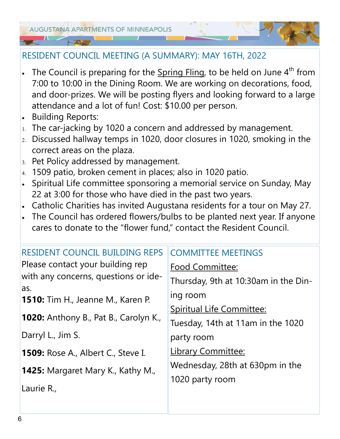#### RESIDENT COUNCIL MEETING (A SUMMARY): MAY 16TH, 2022

- The Council is preparing for the  $Spring \, Fling$ , to be held on June  $4<sup>th</sup>$  from 7:00 to 10:00 in the Dining Room. We are working on decorations, food, and door-prizes. We will be posting flyers and looking forward to a large attendance and a lot of fun! Cost: \$10.00 per person.
- Building Reports:
- $1.$  The car-jacking by 1020 a concern and addressed by management.
- Discussed hallway temps in 1020, door closures in 1020, smoking in the correct areas on the plaza.
- 3. Pet Policy addressed by management.
- 4. 1509 patio, broken cement in places; also in 1020 patio.
- Spiritual Life committee sponsoring a memorial service on Sunday, May 22 at 3:00 for those who have died in the past two years.
- Catholic Charities has invited Augustana residents for a tour on May 27.
- The Council has ordered flowers/bulbs to be planted next year. If anyone cares to donate to the "flower fund," contact the Resident Council.

| <b>RESIDENT COUNCIL BUILDING REPS</b>           | <b>COMMITTEE MEETINGS</b>            |
|-------------------------------------------------|--------------------------------------|
| Please contact your building rep                | <b>Food Committee:</b>               |
| with any concerns, questions or ide-            | Thursday, 9th at 10:30am in the Din- |
| as.<br><b>1510:</b> Tim H., Jeanne M., Karen P. | ing room                             |
|                                                 | Spiritual Life Committee:            |
| <b>1020:</b> Anthony B., Pat B., Carolyn K.,    | Tuesday, 14th at 11am in the 1020    |
| Darryl L., Jim S.                               | party room                           |
| <b>1509: Rose A., Albert C., Steve I.</b>       | <b>Library Committee:</b>            |
| 1425: Margaret Mary K., Kathy M.,               | Wednesday, 28th at 630pm in the      |
|                                                 | 1020 party room                      |
| Laurie R.,                                      |                                      |
|                                                 |                                      |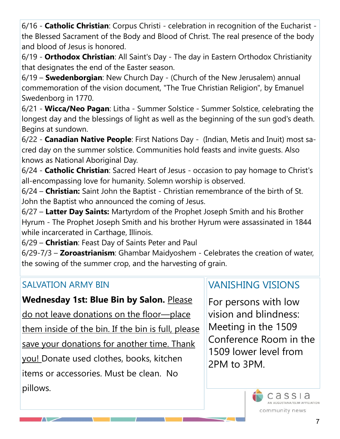6/16 - **Catholic Christian**: Corpus Christi - celebration in recognition of the Eucharist the Blessed Sacrament of the Body and Blood of Christ. The real presence of the body and blood of Jesus is honored.

6/19 - **Orthodox Christian**: All Saint's Day - The day in Eastern Orthodox Christianity that designates the end of the Easter season.

6/19 – **Swedenborgian**: New Church Day - (Church of the New Jerusalem) annual commemoration of the vision document, "The True Christian Religion", by Emanuel Swedenborg in 1770.

6/21 - **Wicca/Neo Pagan**: Litha - Summer Solstice - Summer Solstice, celebrating the longest day and the blessings of light as well as the beginning of the sun god's death. Begins at sundown.

6/22 - **Canadian Native People**: First Nations Day - (Indian, Metis and Inuit) most sacred day on the summer solstice. Communities hold feasts and invite guests. Also knows as National Aboriginal Day.

6/24 - **Catholic Christian**: Sacred Heart of Jesus - occasion to pay homage to Christ's all-encompassing love for humanity. Solemn worship is observed.

6/24 – **Christian:** Saint John the Baptist - Christian remembrance of the birth of St. John the Baptist who announced the coming of Jesus.

6/27 – **Latter Day Saints:** Martyrdom of the Prophet Joseph Smith and his Brother Hyrum - The Prophet Joseph Smith and his brother Hyrum were assassinated in 1844 while incarcerated in Carthage, Illinois.

6/29 – **Christian**: Feast Day of Saints Peter and Paul

6/29-7/3 – **Zoroastrianism**: Ghambar Maidyoshem - Celebrates the creation of water, the sowing of the summer crop, and the harvesting of grain.

## SALVATION ARMY BIN

 $\sqrt{2}$ 

## **Wednesday 1st: Blue Bin by Salon. Please**

do not leave donations on the floor—place them inside of the bin. If the bin is full, please save your donations for another time. Thank you! Donate used clothes, books, kitchen items or accessories. Must be clean. No pillows.

# VANISHING VISIONS

For persons with low vision and blindness: Meeting in the 1509 Conference Room in the 1509 lower level from 2PM to 3PM.